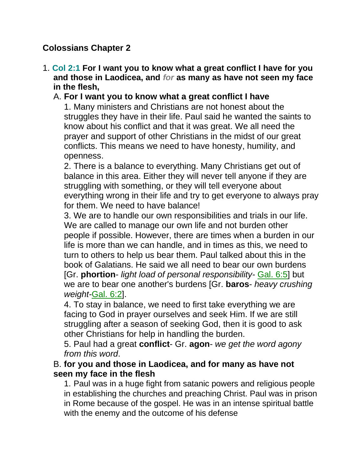# **Colossians Chapter 2**

1. **Col 2:1 For I want you to know what a great conflict I have for you and those in Laodicea, and** *for* **as many as have not seen my face in the flesh,**

## A. **For I want you to know what a great conflict I have**

1. Many ministers and Christians are not honest about the struggles they have in their life. Paul said he wanted the saints to know about his conflict and that it was great. We all need the prayer and support of other Christians in the midst of our great conflicts. This means we need to have honesty, humility, and openness.

2. There is a balance to everything. Many Christians get out of balance in this area. Either they will never tell anyone if they are struggling with something, or they will tell everyone about everything wrong in their life and try to get everyone to always pray for them. We need to have balance!

3. We are to handle our own responsibilities and trials in our life. We are called to manage our own life and not burden other people if possible. However, there are times when a burden in our life is more than we can handle, and in times as this, we need to turn to others to help us bear them. Paul talked about this in the book of Galatians. He said we all need to bear our own burdens [Gr. **phortion**- *light load of personal responsibility-* Gal. 6:5] but we are to bear one another's burdens [Gr. **baros**- *heavy crushing weight-*Gal. 6:2].

4. To stay in balance, we need to first take everything we are facing to God in prayer ourselves and seek Him. If we are still struggling after a season of seeking God, then it is good to ask other Christians for help in handling the burden.

5. Paul had a great **conflict**- Gr. **agon**- *we get the word agony from this word*.

B. **for you and those in Laodicea, and for many as have not seen my face in the flesh**

1. Paul was in a huge fight from satanic powers and religious people in establishing the churches and preaching Christ. Paul was in prison in Rome because of the gospel. He was in an intense spiritual battle with the enemy and the outcome of his defense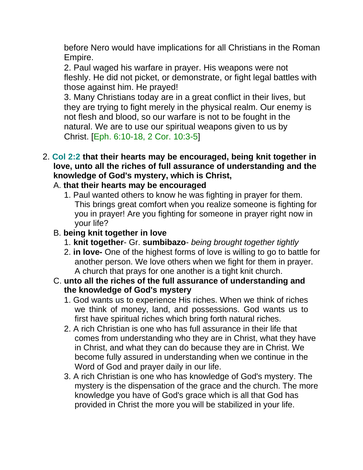before Nero would have implications for all Christians in the Roman Empire.

2. Paul waged his warfare in prayer. His weapons were not fleshly. He did not picket, or demonstrate, or fight legal battles with those against him. He prayed!

3. Many Christians today are in a great conflict in their lives, but they are trying to fight merely in the physical realm. Our enemy is not flesh and blood, so our warfare is not to be fought in the natural. We are to use our spiritual weapons given to us by Christ. [Eph. 6:10-18, 2 Cor. 10:3-5]

2. **Col 2:2 that their hearts may be encouraged, being knit together in love, unto all the riches of full assurance of understanding and the knowledge of God's mystery, which is Christ,**

#### A. **that their hearts may be encouraged**

- 1. Paul wanted others to know he was fighting in prayer for them. This brings great comfort when you realize someone is fighting for you in prayer! Are you fighting for someone in prayer right now in your life?
- B. **being knit together in love**
	- 1. **knit together** Gr. **sumbibazo** *being brought together tightly*
	- 2. **in love-** One of the highest forms of love is willing to go to battle for another person. We love others when we fight for them in prayer. A church that prays for one another is a tight knit church.
- C. **unto all the riches of the full assurance of understanding and the knowledge of God's mystery**
	- 1. God wants us to experience His riches. When we think of riches we think of money, land, and possessions. God wants us to first have spiritual riches which bring forth natural riches.
	- 2. A rich Christian is one who has full assurance in their life that comes from understanding who they are in Christ, what they have in Christ, and what they can do because they are in Christ. We become fully assured in understanding when we continue in the Word of God and prayer daily in our life.
	- 3. A rich Christian is one who has knowledge of God's mystery. The mystery is the dispensation of the grace and the church. The more knowledge you have of God's grace which is all that God has provided in Christ the more you will be stabilized in your life.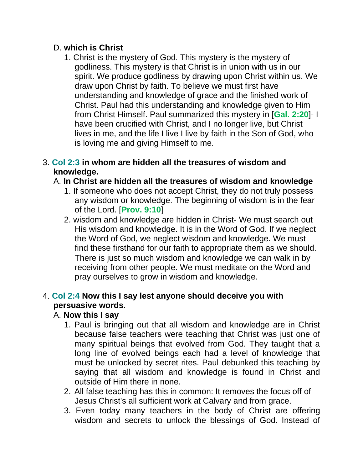### D. **which is Christ**

1. Christ is the mystery of God. This mystery is the mystery of godliness. This mystery is that Christ is in union with us in our spirit. We produce godliness by drawing upon Christ within us. We draw upon Christ by faith. To believe we must first have understanding and knowledge of grace and the finished work of Christ. Paul had this understanding and knowledge given to Him from Christ Himself. Paul summarized this mystery in [**Gal. 2:20**]- I have been crucified with Christ, and I no longer live, but Christ lives in me, and the life I live I live by faith in the Son of God, who is loving me and giving Himself to me.

#### 3. **Col 2:3 in whom are hidden all the treasures of wisdom and knowledge.**

# A. **In Christ are hidden all the treasures of wisdom and knowledge**

- 1. If someone who does not accept Christ, they do not truly possess any wisdom or knowledge. The beginning of wisdom is in the fear of the Lord. [**Prov. 9:10**]
- 2. wisdom and knowledge are hidden in Christ- We must search out His wisdom and knowledge. It is in the Word of God. If we neglect the Word of God, we neglect wisdom and knowledge. We must find these firsthand for our faith to appropriate them as we should. There is just so much wisdom and knowledge we can walk in by receiving from other people. We must meditate on the Word and pray ourselves to grow in wisdom and knowledge.

# 4. **Col 2:4 Now this I say lest anyone should deceive you with persuasive words.**

### A. **Now this I say**

- 1. Paul is bringing out that all wisdom and knowledge are in Christ because false teachers were teaching that Christ was just one of many spiritual beings that evolved from God. They taught that a long line of evolved beings each had a level of knowledge that must be unlocked by secret rites. Paul debunked this teaching by saying that all wisdom and knowledge is found in Christ and outside of Him there in none.
- 2. All false teaching has this in common: It removes the focus off of Jesus Christ's all sufficient work at Calvary and from grace.
- 3. Even today many teachers in the body of Christ are offering wisdom and secrets to unlock the blessings of God. Instead of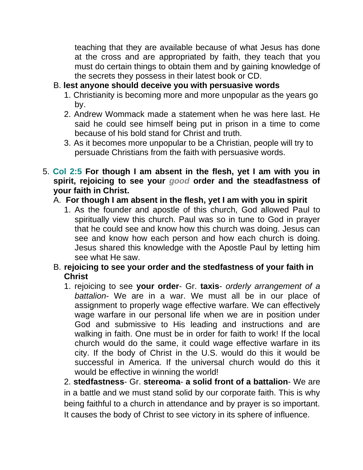teaching that they are available because of what Jesus has done at the cross and are appropriated by faith, they teach that you must do certain things to obtain them and by gaining knowledge of the secrets they possess in their latest book or CD.

# B. **lest anyone should deceive you with persuasive words**

- 1. Christianity is becoming more and more unpopular as the years go by.
- 2. Andrew Wommack made a statement when he was here last. He said he could see himself being put in prison in a time to come because of his bold stand for Christ and truth.
- 3. As it becomes more unpopular to be a Christian, people will try to persuade Christians from the faith with persuasive words.
- 5. **Col 2:5 For though I am absent in the flesh, yet I am with you in spirit, rejoicing to see your** *good* **order and the steadfastness of your faith in Christ.**

### A. **For though I am absent in the flesh, yet I am with you in spirit**

1. As the founder and apostle of this church, God allowed Paul to spiritually view this church. Paul was so in tune to God in prayer that he could see and know how this church was doing. Jesus can see and know how each person and how each church is doing. Jesus shared this knowledge with the Apostle Paul by letting him see what He saw.

### B. **rejoicing to see your order and the stedfastness of your faith in Christ**

1. rejoicing to see **your order**- Gr. **taxis**- *orderly arrangement of a battalion*- We are in a war. We must all be in our place of assignment to properly wage effective warfare. We can effectively wage warfare in our personal life when we are in position under God and submissive to His leading and instructions and are walking in faith. One must be in order for faith to work! If the local church would do the same, it could wage effective warfare in its city. If the body of Christ in the U.S. would do this it would be successful in America. If the universal church would do this it would be effective in winning the world!

2. **stedfastness**- Gr. **stereoma**- **a solid front of a battalion**- We are in a battle and we must stand solid by our corporate faith. This is why being faithful to a church in attendance and by prayer is so important. It causes the body of Christ to see victory in its sphere of influence.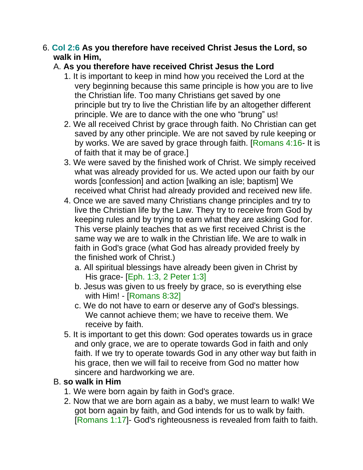#### 6. **Col 2:6 As you therefore have received Christ Jesus the Lord, so walk in Him,**

## A. **As you therefore have received Christ Jesus the Lord**

- 1. It is important to keep in mind how you received the Lord at the very beginning because this same principle is how you are to live the Christian life. Too many Christians get saved by one principle but try to live the Christian life by an altogether different principle. We are to dance with the one who "brung" us!
- 2. We all received Christ by grace through faith. No Christian can get saved by any other principle. We are not saved by rule keeping or by works. We are saved by grace through faith. [Romans 4:16- It is of faith that it may be of grace.]
- 3. We were saved by the finished work of Christ. We simply received what was already provided for us. We acted upon our faith by our words [confession] and action [walking an isle; baptism] We received what Christ had already provided and received new life.
- 4. Once we are saved many Christians change principles and try to live the Christian life by the Law. They try to receive from God by keeping rules and by trying to earn what they are asking God for. This verse plainly teaches that as we first received Christ is the same way we are to walk in the Christian life. We are to walk in faith in God's grace (what God has already provided freely by the finished work of Christ.)
	- a. All spiritual blessings have already been given in Christ by His grace- [Eph. 1:3, 2 Peter 1:3]
	- b. Jesus was given to us freely by grace, so is everything else with Him! - [Romans 8:32]
	- c. We do not have to earn or deserve any of God's blessings. We cannot achieve them; we have to receive them. We receive by faith.
- 5. It is important to get this down: God operates towards us in grace and only grace, we are to operate towards God in faith and only faith. If we try to operate towards God in any other way but faith in his grace, then we will fail to receive from God no matter how sincere and hardworking we are.

#### B. **so walk in Him**

- 1. We were born again by faith in God's grace.
- 2. Now that we are born again as a baby, we must learn to walk! We got born again by faith, and God intends for us to walk by faith. [Romans 1:17]- God's righteousness is revealed from faith to faith.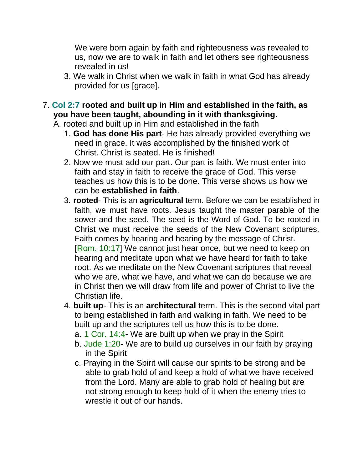We were born again by faith and righteousness was revealed to us, now we are to walk in faith and let others see righteousness revealed in us!

- 3. We walk in Christ when we walk in faith in what God has already provided for us [grace].
- 7. **Col 2:7 rooted and built up in Him and established in the faith, as you have been taught, abounding in it with thanksgiving.**

A. rooted and built up in Him and established in the faith

- 1. **God has done His part** He has already provided everything we need in grace. It was accomplished by the finished work of Christ. Christ is seated. He is finished!
- 2. Now we must add our part. Our part is faith. We must enter into faith and stay in faith to receive the grace of God. This verse teaches us how this is to be done. This verse shows us how we can be **established in faith**.
- 3. **rooted** This is an **agricultural** term. Before we can be established in faith, we must have roots. Jesus taught the master parable of the sower and the seed. The seed is the Word of God. To be rooted in Christ we must receive the seeds of the New Covenant scriptures. Faith comes by hearing and hearing by the message of Christ. [Rom. 10:17] We cannot just hear once, but we need to keep on hearing and meditate upon what we have heard for faith to take root. As we meditate on the New Covenant scriptures that reveal who we are, what we have, and what we can do because we are in Christ then we will draw from life and power of Christ to live the Christian life.
- 4. **built up** This is an **architectural** term. This is the second vital part to being established in faith and walking in faith. We need to be built up and the scriptures tell us how this is to be done.
	- a. 1 Cor. 14:4- We are built up when we pray in the Spirit
	- b. Jude 1:20- We are to build up ourselves in our faith by praying in the Spirit
	- c. Praying in the Spirit will cause our spirits to be strong and be able to grab hold of and keep a hold of what we have received from the Lord. Many are able to grab hold of healing but are not strong enough to keep hold of it when the enemy tries to wrestle it out of our hands.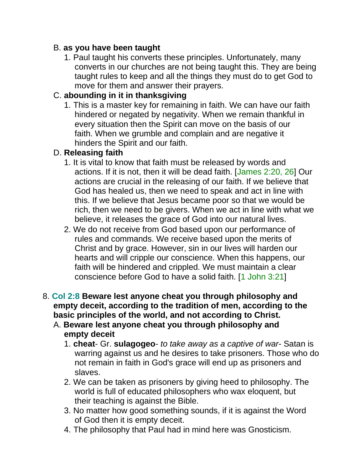## B. **as you have been taught**

1. Paul taught his converts these principles. Unfortunately, many converts in our churches are not being taught this. They are being taught rules to keep and all the things they must do to get God to move for them and answer their prayers.

# C. **abounding in it in thanksgiving**

1. This is a master key for remaining in faith. We can have our faith hindered or negated by negativity. When we remain thankful in every situation then the Spirit can move on the basis of our faith. When we grumble and complain and are negative it hinders the Spirit and our faith.

# D. **Releasing faith**

- 1. It is vital to know that faith must be released by words and actions. If it is not, then it will be dead faith. [James 2:20, 26] Our actions are crucial in the releasing of our faith. If we believe that God has healed us, then we need to speak and act in line with this. If we believe that Jesus became poor so that we would be rich, then we need to be givers. When we act in line with what we believe, it releases the grace of God into our natural lives.
- 2. We do not receive from God based upon our performance of rules and commands. We receive based upon the merits of Christ and by grace. However, sin in our lives will harden our hearts and will cripple our conscience. When this happens, our faith will be hindered and crippled. We must maintain a clear conscience before God to have a solid faith. [1 John 3:21]
- 8. **Col 2:8 Beware lest anyone cheat you through philosophy and empty deceit, according to the tradition of men, according to the basic principles of the world, and not according to Christ.**
	- A. **Beware lest anyone cheat you through philosophy and empty deceit**
		- 1. **cheat** Gr. **sulagogeo** *to take away as a captive of war* Satan is warring against us and he desires to take prisoners. Those who do not remain in faith in God's grace will end up as prisoners and slaves.
		- 2. We can be taken as prisoners by giving heed to philosophy. The world is full of educated philosophers who wax eloquent, but their teaching is against the Bible.
		- 3. No matter how good something sounds, if it is against the Word of God then it is empty deceit.
		- 4. The philosophy that Paul had in mind here was Gnosticism.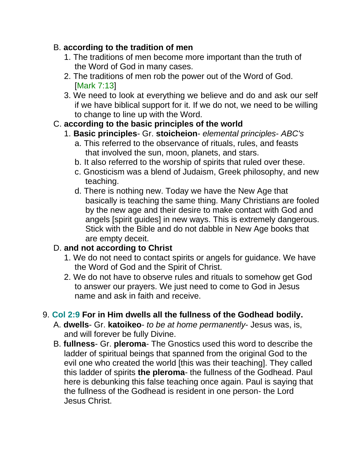## B. **according to the tradition of men**

- 1. The traditions of men become more important than the truth of the Word of God in many cases.
- 2. The traditions of men rob the power out of the Word of God. [Mark 7:13]
- 3. We need to look at everything we believe and do and ask our self if we have biblical support for it. If we do not, we need to be willing to change to line up with the Word.

# C. **according to the basic principles of the world**

### 1. **Basic principles**- Gr. **stoicheion**- *elemental principles*- *ABC's*

- a. This referred to the observance of rituals, rules, and feasts that involved the sun, moon, planets, and stars.
- b. It also referred to the worship of spirits that ruled over these.
- c. Gnosticism was a blend of Judaism, Greek philosophy, and new teaching.
- d. There is nothing new. Today we have the New Age that basically is teaching the same thing. Many Christians are fooled by the new age and their desire to make contact with God and angels [spirit guides] in new ways. This is extremely dangerous. Stick with the Bible and do not dabble in New Age books that are empty deceit.

# D. **and not according to Christ**

- 1. We do not need to contact spirits or angels for guidance. We have the Word of God and the Spirit of Christ.
- 2. We do not have to observe rules and rituals to somehow get God to answer our prayers. We just need to come to God in Jesus name and ask in faith and receive.

# 9. **Col 2:9 For in Him dwells all the fullness of the Godhead bodily.**

- A. **dwells** Gr. **katoikeo** *to be at home permanently* Jesus was, is, and will forever be fully Divine.
- B. **fullness** Gr. **pleroma** The Gnostics used this word to describe the ladder of spiritual beings that spanned from the original God to the evil one who created the world [this was their teaching]. They called this ladder of spirits **the pleroma**- the fullness of the Godhead. Paul here is debunking this false teaching once again. Paul is saying that the fullness of the Godhead is resident in one person- the Lord Jesus Christ.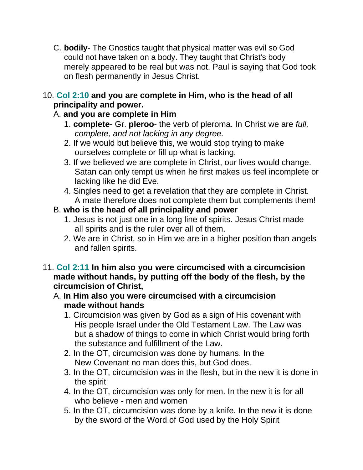C. **bodily**- The Gnostics taught that physical matter was evil so God could not have taken on a body. They taught that Christ's body merely appeared to be real but was not. Paul is saying that God took on flesh permanently in Jesus Christ.

#### 10. **Col 2:10 and you are complete in Him, who is the head of all principality and power.**

# A. **and you are complete in Him**

- 1. **complete** Gr. **pleroo** the verb of pleroma. In Christ we are *full, complete, and not lacking in any degree.*
- 2. If we would but believe this, we would stop trying to make ourselves complete or fill up what is lacking.
- 3. If we believed we are complete in Christ, our lives would change. Satan can only tempt us when he first makes us feel incomplete or lacking like he did Eve.
- 4. Singles need to get a revelation that they are complete in Christ. A mate therefore does not complete them but complements them!

# B. **who is the head of all principality and power**

- 1. Jesus is not just one in a long line of spirits. Jesus Christ made all spirits and is the ruler over all of them.
- 2. We are in Christ, so in Him we are in a higher position than angels and fallen spirits.
- 11. **Col 2:11 In him also you were circumcised with a circumcision made without hands, by putting off the body of the flesh, by the circumcision of Christ,**
	- A. **In Him also you were circumcised with a circumcision made without hands**
		- 1. Circumcision was given by God as a sign of His covenant with His people Israel under the Old Testament Law. The Law was but a shadow of things to come in which Christ would bring forth the substance and fulfillment of the Law.
		- 2. In the OT, circumcision was done by humans. In the New Covenant no man does this, but God does.
		- 3. In the OT, circumcision was in the flesh, but in the new it is done in the spirit
		- 4. In the OT, circumcision was only for men. In the new it is for all who believe - men and women
		- 5. In the OT, circumcision was done by a knife. In the new it is done by the sword of the Word of God used by the Holy Spirit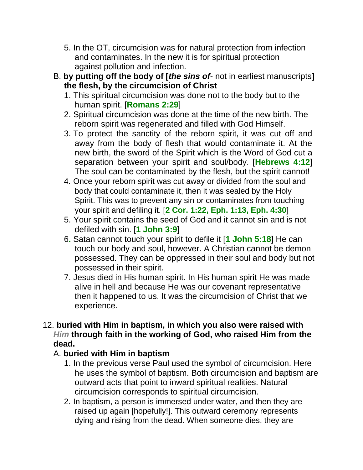- 5. In the OT, circumcision was for natural protection from infection and contaminates. In the new it is for spiritual protection against pollution and infection.
- B. **by putting off the body of [***the sins of* not in earliest manuscripts**] the flesh, by the circumcision of Christ**
	- 1. This spiritual circumcision was done not to the body but to the human spirit. [**Romans 2:29**]
	- 2. Spiritual circumcision was done at the time of the new birth. The reborn spirit was regenerated and filled with God Himself.
	- 3. To protect the sanctity of the reborn spirit, it was cut off and away from the body of flesh that would contaminate it. At the new birth, the sword of the Spirit which is the Word of God cut a separation between your spirit and soul/body. [**Hebrews 4:12**] The soul can be contaminated by the flesh, but the spirit cannot!
	- 4. Once your reborn spirit was cut away or divided from the soul and body that could contaminate it, then it was sealed by the Holy Spirit. This was to prevent any sin or contaminates from touching your spirit and defiling it. [**2 Cor. 1:22, Eph. 1:13, Eph. 4:30**]
	- 5. Your spirit contains the seed of God and it cannot sin and is not defiled with sin. [**1 John 3:9**]
	- 6**.** Satan cannot touch your spirit to defile it [**1 John 5:18**] He can touch our body and soul, however. A Christian cannot be demon possessed. They can be oppressed in their soul and body but not possessed in their spirit.
	- 7. Jesus died in His human spirit. In His human spirit He was made alive in hell and because He was our covenant representative then it happened to us. It was the circumcision of Christ that we experience.
- 12. **buried with Him in baptism, in which you also were raised with**  *Him* **through faith in the working of God, who raised Him from the dead.**

### A. **buried with Him in baptism**

- 1. In the previous verse Paul used the symbol of circumcision. Here he uses the symbol of baptism. Both circumcision and baptism are outward acts that point to inward spiritual realities. Natural circumcision corresponds to spiritual circumcision.
- 2. In baptism, a person is immersed under water, and then they are raised up again [hopefully!]. This outward ceremony represents dying and rising from the dead. When someone dies, they are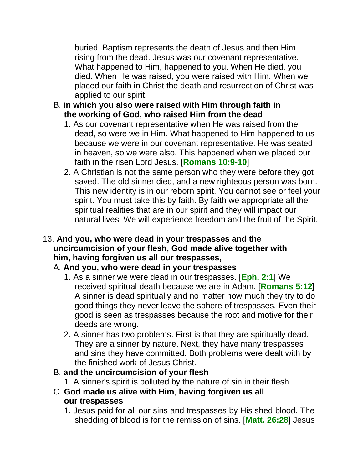buried. Baptism represents the death of Jesus and then Him rising from the dead. Jesus was our covenant representative. What happened to Him, happened to you. When He died, you died. When He was raised, you were raised with Him. When we placed our faith in Christ the death and resurrection of Christ was applied to our spirit.

- B. **in which you also were raised with Him through faith in the working of God, who raised Him from the dead**
	- 1. As our covenant representative when He was raised from the dead, so were we in Him. What happened to Him happened to us because we were in our covenant representative. He was seated in heaven, so we were also. This happened when we placed our faith in the risen Lord Jesus. [**Romans 10:9-10**]
	- 2. A Christian is not the same person who they were before they got saved. The old sinner died, and a new righteous person was born. This new identity is in our reborn spirit. You cannot see or feel your spirit. You must take this by faith. By faith we appropriate all the spiritual realities that are in our spirit and they will impact our natural lives. We will experience freedom and the fruit of the Spirit.

### 13. **And you, who were dead in your trespasses and the uncircumcision of your flesh, God made alive together with him, having forgiven us all our trespasses,**

# A. **And you, who were dead in your trespasses**

- 1. As a sinner we were dead in our trespasses. [**Eph. 2:1**] We received spiritual death because we are in Adam. [**Romans 5:12**] A sinner is dead spiritually and no matter how much they try to do good things they never leave the sphere of trespasses. Even their good is seen as trespasses because the root and motive for their deeds are wrong.
- 2. A sinner has two problems. First is that they are spiritually dead. They are a sinner by nature. Next, they have many trespasses and sins they have committed. Both problems were dealt with by the finished work of Jesus Christ.

### B. **and the uncircumcision of your flesh**

- 1. A sinner's spirit is polluted by the nature of sin in their flesh
- C. **God made us alive with Him**, **having forgiven us all our trespasses**
	- 1. Jesus paid for all our sins and trespasses by His shed blood. The shedding of blood is for the remission of sins. [**Matt. 26:28**] Jesus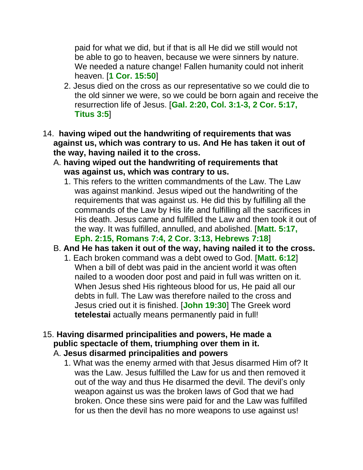paid for what we did, but if that is all He did we still would not be able to go to heaven, because we were sinners by nature. We needed a nature change! Fallen humanity could not inherit heaven. [**1 Cor. 15:50**]

- 2. Jesus died on the cross as our representative so we could die to the old sinner we were, so we could be born again and receive the resurrection life of Jesus. [**Gal. 2:20, Col. 3:1-3, 2 Cor. 5:17, Titus 3:5**]
- 14. **having wiped out the handwriting of requirements that was against us, which was contrary to us. And He has taken it out of the way, having nailed it to the cross.**
	- A. **having wiped out the handwriting of requirements that was against us, which was contrary to us.**
		- 1. This refers to the written commandments of the Law. The Law was against mankind. Jesus wiped out the handwriting of the requirements that was against us. He did this by fulfilling all the commands of the Law by His life and fulfilling all the sacrifices in His death. Jesus came and fulfilled the Law and then took it out of the way. It was fulfilled, annulled, and abolished. [**Matt. 5:17, Eph. 2:15, Romans 7:4, 2 Cor. 3:13, Hebrews 7:18**]
	- B. **And He has taken it out of the way, having nailed it to the cross.**
		- 1. Each broken command was a debt owed to God. [**Matt. 6:12**] When a bill of debt was paid in the ancient world it was often nailed to a wooden door post and paid in full was written on it. When Jesus shed His righteous blood for us, He paid all our debts in full. The Law was therefore nailed to the cross and Jesus cried out it is finished. [**John 19:30**] The Greek word **tetelestai** actually means permanently paid in full!
- 15. **Having disarmed principalities and powers, He made a public spectacle of them, triumphing over them in it.**
	- A. **Jesus disarmed principalities and powers**
		- 1. What was the enemy armed with that Jesus disarmed Him of? It was the Law. Jesus fulfilled the Law for us and then removed it out of the way and thus He disarmed the devil. The devil's only weapon against us was the broken laws of God that we had broken. Once these sins were paid for and the Law was fulfilled for us then the devil has no more weapons to use against us!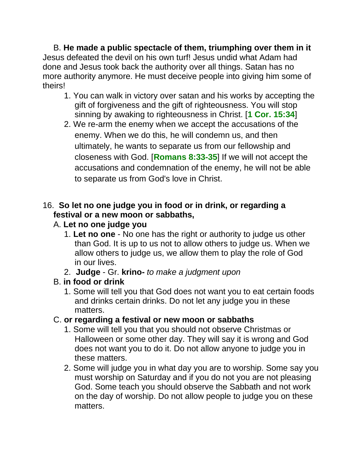B. **He made a public spectacle of them, triumphing over them in it** Jesus defeated the devil on his own turf! Jesus undid what Adam had done and Jesus took back the authority over all things. Satan has no more authority anymore. He must deceive people into giving him some of theirs!

- 1. You can walk in victory over satan and his works by accepting the gift of forgiveness and the gift of righteousness. You will stop sinning by awaking to righteousness in Christ. [**1 Cor. 15:34**]
- 2. We re-arm the enemy when we accept the accusations of the enemy. When we do this, he will condemn us, and then ultimately, he wants to separate us from our fellowship and closeness with God. [**Romans 8:33-35**] If we will not accept the accusations and condemnation of the enemy, he will not be able to separate us from God's love in Christ.

# 16. **So let no one judge you in food or in drink, or regarding a festival or a new moon or sabbaths,**

- A. **Let no one judge you**
	- 1. **Let no one** No one has the right or authority to judge us other than God. It is up to us not to allow others to judge us. When we allow others to judge us, we allow them to play the role of God in our lives.
	- 2. **Judge** Gr. **krino-** *to make a judgment upon*
- B. **in food or drink**
	- 1. Some will tell you that God does not want you to eat certain foods and drinks certain drinks. Do not let any judge you in these matters.
- C. **or regarding a festival or new moon or sabbaths**
	- 1. Some will tell you that you should not observe Christmas or Halloween or some other day. They will say it is wrong and God does not want you to do it. Do not allow anyone to judge you in these matters.
	- 2. Some will judge you in what day you are to worship. Some say you must worship on Saturday and if you do not you are not pleasing God. Some teach you should observe the Sabbath and not work on the day of worship. Do not allow people to judge you on these matters.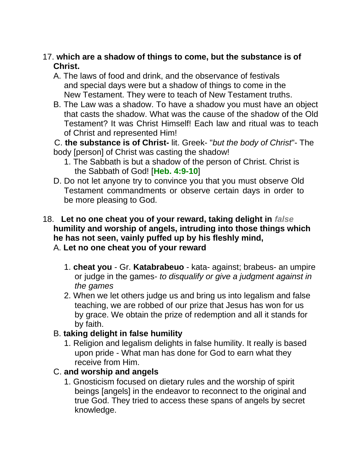#### 17. **which are a shadow of things to come, but the substance is of Christ.**

A. The laws of food and drink, and the observance of festivals and special days were but a shadow of things to come in the New Testament. They were to teach of New Testament truths.

B. The Law was a shadow. To have a shadow you must have an object that casts the shadow. What was the cause of the shadow of the Old Testament? It was Christ Himself! Each law and ritual was to teach of Christ and represented Him!

C. **the substance is of Christ-** lit. Greek- "*but the body of Christ*"- The body [person] of Christ was casting the shadow!

- 1. The Sabbath is but a shadow of the person of Christ. Christ is the Sabbath of God! [**Heb. 4:9-10**]
- D. Do not let anyone try to convince you that you must observe Old Testament commandments or observe certain days in order to be more pleasing to God.

#### 18. **Let no one cheat you of your reward, taking delight in** *false* **humility and worship of angels, intruding into those things which he has not seen, vainly puffed up by his fleshly mind,** A. **Let no one cheat you of your reward**

- 1. **cheat you** Gr. **Katabrabeuo** kata- against; brabeus- an umpire or judge in the games- *to disqualify or give a judgment against in the games*
- 2. When we let others judge us and bring us into legalism and false teaching, we are robbed of our prize that Jesus has won for us by grace. We obtain the prize of redemption and all it stands for by faith.

### B. **taking delight in false humility**

1. Religion and legalism delights in false humility. It really is based upon pride - What man has done for God to earn what they receive from Him.

# C. **and worship and angels**

1. Gnosticism focused on dietary rules and the worship of spirit beings [angels] in the endeavor to reconnect to the original and true God. They tried to access these spans of angels by secret knowledge.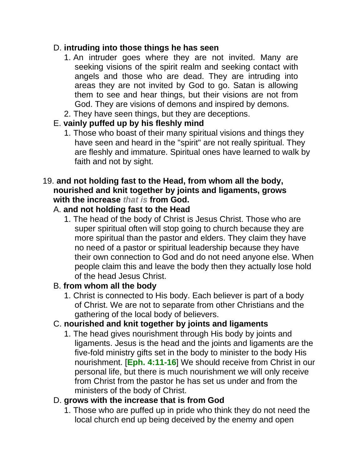#### D. **intruding into those things he has seen**

- 1. An intruder goes where they are not invited. Many are seeking visions of the spirit realm and seeking contact with angels and those who are dead. They are intruding into areas they are not invited by God to go. Satan is allowing them to see and hear things, but their visions are not from God. They are visions of demons and inspired by demons.
- 2. They have seen things, but they are deceptions.

### E. **vainly puffed up by his fleshly mind**

1. Those who boast of their many spiritual visions and things they have seen and heard in the "spirit" are not really spiritual. They are fleshly and immature. Spiritual ones have learned to walk by faith and not by sight.

#### 19. **and not holding fast to the Head, from whom all the body, nourished and knit together by joints and ligaments, grows with the increase** *that is* **from God.**

### A. **and not holding fast to the Head**

1. The head of the body of Christ is Jesus Christ. Those who are super spiritual often will stop going to church because they are more spiritual than the pastor and elders. They claim they have no need of a pastor or spiritual leadership because they have their own connection to God and do not need anyone else. When people claim this and leave the body then they actually lose hold of the head Jesus Christ.

### B. **from whom all the body**

1. Christ is connected to His body. Each believer is part of a body of Christ. We are not to separate from other Christians and the gathering of the local body of believers.

# C. **nourished and knit together by joints and ligaments**

1. The head gives nourishment through His body by joints and ligaments. Jesus is the head and the joints and ligaments are the five-fold ministry gifts set in the body to minister to the body His nourishment. [**Eph. 4:11-16**] We should receive from Christ in our personal life, but there is much nourishment we will only receive from Christ from the pastor he has set us under and from the ministers of the body of Christ.

### D. **grows with the increase that is from God**

1. Those who are puffed up in pride who think they do not need the local church end up being deceived by the enemy and open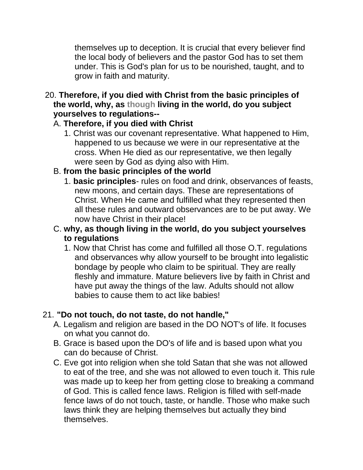themselves up to deception. It is crucial that every believer find the local body of believers and the pastor God has to set them under. This is God's plan for us to be nourished, taught, and to grow in faith and maturity.

20. **Therefore, if you died with Christ from the basic principles of the world, why, as though living in the world, do you subject yourselves to regulations--**

# A. **Therefore, if you died with Christ**

1. Christ was our covenant representative. What happened to Him, happened to us because we were in our representative at the cross. When He died as our representative, we then legally were seen by God as dying also with Him.

# B. **from the basic principles of the world**

- 1. **basic principles** rules on food and drink, observances of feasts, new moons, and certain days. These are representations of Christ. When He came and fulfilled what they represented then all these rules and outward observances are to be put away. We now have Christ in their place!
- C. **why, as though living in the world, do you subject yourselves to regulations**
	- 1. Now that Christ has come and fulfilled all those O.T. regulations and observances why allow yourself to be brought into legalistic bondage by people who claim to be spiritual. They are really fleshly and immature. Mature believers live by faith in Christ and have put away the things of the law. Adults should not allow babies to cause them to act like babies!

# 21. **"Do not touch, do not taste, do not handle,"**

- A. Legalism and religion are based in the DO NOT's of life. It focuses on what you cannot do.
- B. Grace is based upon the DO's of life and is based upon what you can do because of Christ.
- C. Eve got into religion when she told Satan that she was not allowed to eat of the tree, and she was not allowed to even touch it. This rule was made up to keep her from getting close to breaking a command of God. This is called fence laws. Religion is filled with self-made fence laws of do not touch, taste, or handle. Those who make such laws think they are helping themselves but actually they bind themselves.